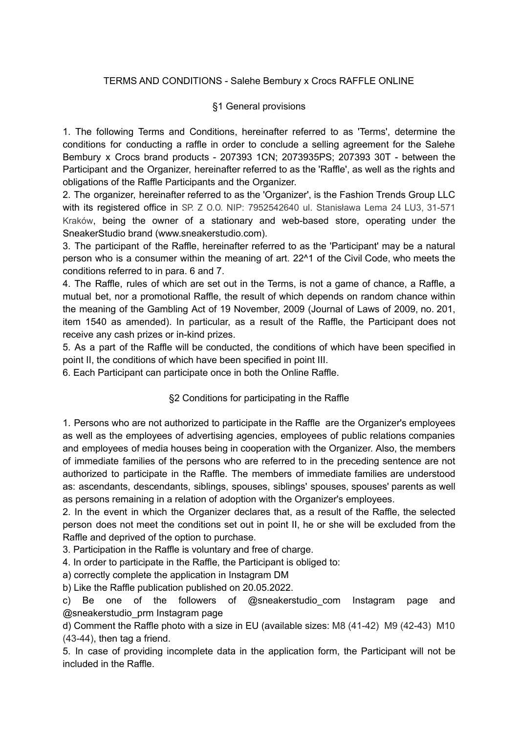### TERMS AND CONDITIONS - Salehe Bembury x Crocs RAFFLE ONLINE

#### §1 General provisions

1. The following Terms and Conditions, hereinafter referred to as 'Terms', determine the conditions for conducting a raffle in order to conclude a selling agreement for the Salehe Bembury x Crocs brand products - 207393 1CN; 2073935PS; 207393 30T - between the Participant and the Organizer, hereinafter referred to as the 'Raffle', as well as the rights and obligations of the Raffle Participants and the Organizer.

2. The organizer, hereinafter referred to as the 'Organizer', is the Fashion Trends Group LLC with its registered office in SP. Z O.O. NIP: 7952542640 ul. Stanisława Lema 24 LU3, 31-571 Kraków, being the owner of a stationary and web-based store, operating under the SneakerStudio brand (www.sneakerstudio.com).

3. The participant of the Raffle, hereinafter referred to as the 'Participant' may be a natural person who is a consumer within the meaning of art. 22^1 of the Civil Code, who meets the conditions referred to in para. 6 and 7.

4. The Raffle, rules of which are set out in the Terms, is not a game of chance, a Raffle, a mutual bet, nor a promotional Raffle, the result of which depends on random chance within the meaning of the Gambling Act of 19 November, 2009 (Journal of Laws of 2009, no. 201, item 1540 as amended). In particular, as a result of the Raffle, the Participant does not receive any cash prizes or in-kind prizes.

5. As a part of the Raffle will be conducted, the conditions of which have been specified in point II, the conditions of which have been specified in point III.

6. Each Participant can participate once in both the Online Raffle.

# §2 Conditions for participating in the Raffle

1. Persons who are not authorized to participate in the Raffle are the Organizer's employees as well as the employees of advertising agencies, employees of public relations companies and employees of media houses being in cooperation with the Organizer. Also, the members of immediate families of the persons who are referred to in the preceding sentence are not authorized to participate in the Raffle. The members of immediate families are understood as: ascendants, descendants, siblings, spouses, siblings' spouses, spouses' parents as well as persons remaining in a relation of adoption with the Organizer's employees.

2. In the event in which the Organizer declares that, as a result of the Raffle, the selected person does not meet the conditions set out in point II, he or she will be excluded from the Raffle and deprived of the option to purchase.

3. Participation in the Raffle is voluntary and free of charge.

4. In order to participate in the Raffle, the Participant is obliged to:

a) correctly complete the application in Instagram DM

b) Like the Raffle publication published on 20.05.2022.

c) Be one of the followers of  $@s$ neakerstudio com Instagram page and @sneakerstudio\_prm Instagram page

d) Comment the Raffle photo with a size in EU (available sizes: M8 (41-42) M9 (42-43) M10 (43-44), then tag a friend.

5. In case of providing incomplete data in the application form, the Participant will not be included in the Raffle.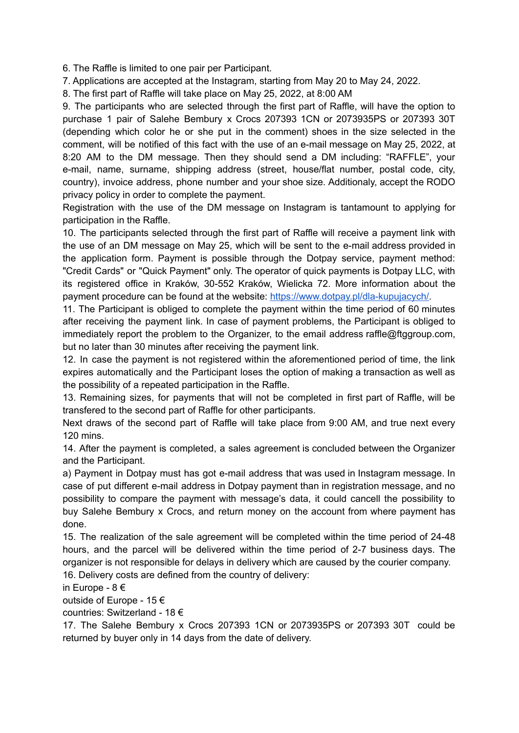6. The Raffle is limited to one pair per Participant.

7. Applications are accepted at the Instagram, starting from May 20 to May 24, 2022.

8. The first part of Raffle will take place on May 25, 2022, at 8:00 AM

9. The participants who are selected through the first part of Raffle, will have the option to purchase 1 pair of Salehe Bembury x Crocs 207393 1CN or 2073935PS or 207393 30T (depending which color he or she put in the comment) shoes in the size selected in the comment, will be notified of this fact with the use of an e-mail message on May 25, 2022, at 8:20 AM to the DM message. Then they should send a DM including: "RAFFLE", your e-mail, name, surname, shipping address (street, house/flat number, postal code, city, country), invoice address, phone number and your shoe size. Additionaly, accept the RODO privacy policy in order to complete the payment.

Registration with the use of the DM message on Instagram is tantamount to applying for participation in the Raffle.

10. The participants selected through the first part of Raffle will receive a payment link with the use of an DM message on May 25, which will be sent to the e-mail address provided in the application form. Payment is possible through the Dotpay service, payment method: "Credit Cards" or "Quick Payment" only. The operator of quick payments is Dotpay LLC, with its registered office in Kraków, 30-552 Kraków, Wielicka 72. More information about the payment procedure can be found at the website: [https://www.dotpay.pl/dla-kupujacych/.](https://www.dotpay.pl/dla-kupujacych/)

11. The Participant is obliged to complete the payment within the time period of 60 minutes after receiving the payment link. In case of payment problems, the Participant is obliged to immediately report the problem to the Organizer, to the email address raffle@ftggroup.com, but no later than 30 minutes after receiving the payment link.

12. In case the payment is not registered within the aforementioned period of time, the link expires automatically and the Participant loses the option of making a transaction as well as the possibility of a repeated participation in the Raffle.

13. Remaining sizes, for payments that will not be completed in first part of Raffle, will be transfered to the second part of Raffle for other participants.

Next draws of the second part of Raffle will take place from 9:00 AM, and true next every 120 mins.

14. After the payment is completed, a sales agreement is concluded between the Organizer and the Participant.

a) Payment in Dotpay must has got e-mail address that was used in Instagram message. In case of put different e-mail address in Dotpay payment than in registration message, and no possibility to compare the payment with message's data, it could cancell the possibility to buy Salehe Bembury x Crocs, and return money on the account from where payment has done.

15. The realization of the sale agreement will be completed within the time period of 24-48 hours, and the parcel will be delivered within the time period of 2-7 business days. The organizer is not responsible for delays in delivery which are caused by the courier company. 16. Delivery costs are defined from the country of delivery:

in Europe - 8 €

outside of Europe - 15 €

countries: Switzerland - 18 €

17. The Salehe Bembury x Crocs 207393 1CN or 2073935PS or 207393 30T could be returned by buyer only in 14 days from the date of delivery.